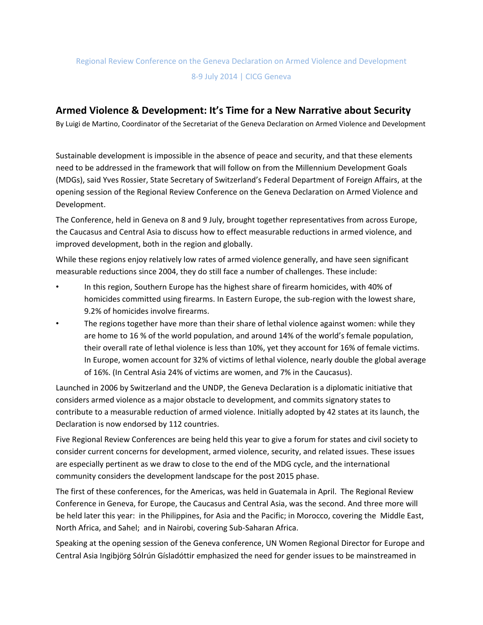## Regional Review Conference on the Geneva Declaration on Armed Violence and Development 8-9 July 2014 | CICG Geneva

## **Armed Violence & Development: It's Time for a New Narrative about Security**

By Luigi de Martino, Coordinator of the Secretariat of the Geneva Declaration on Armed Violence and Development

Sustainable development is impossible in the absence of peace and security, and that these elements need to be addressed in the framework that will follow on from the Millennium Development Goals (MDGs), said Yves Rossier, State Secretary of Switzerland's Federal Department of Foreign Affairs, at the opening session of the Regional Review Conference on the Geneva Declaration on Armed Violence and Development.

The Conference, held in Geneva on 8 and 9 July, brought together representatives from across Europe, the Caucasus and Central Asia to discuss how to effect measurable reductions in armed violence, and improved development, both in the region and globally.

While these regions enjoy relatively low rates of armed violence generally, and have seen significant measurable reductions since 2004, they do still face a number of challenges. These include:

- In this region, Southern Europe has the highest share of firearm homicides, with 40% of homicides committed using firearms. In Eastern Europe, the sub-region with the lowest share, 9.2% of homicides involve firearms.
- The regions together have more than their share of lethal violence against women: while they are home to 16 % of the world population, and around 14% of the world's female population, their overall rate of lethal violence is less than 10%, yet they account for 16% of female victims. In Europe, women account for 32% of victims of lethal violence, nearly double the global average of 16%. (In Central Asia 24% of victims are women, and 7% in the Caucasus).

Launched in 2006 by Switzerland and the UNDP, the Geneva Declaration is a diplomatic initiative that considers armed violence as a major obstacle to development, and commits signatory states to contribute to a measurable reduction of armed violence. Initially adopted by 42 states at its launch, the Declaration is now endorsed by 112 countries.

Five Regional Review Conferences are being held this year to give a forum for states and civil society to consider current concerns for development, armed violence, security, and related issues. These issues are especially pertinent as we draw to close to the end of the MDG cycle, and the international community considers the development landscape for the post 2015 phase.

The first of these conferences, for the Americas, was held in Guatemala in April. The Regional Review Conference in Geneva, for Europe, the Caucasus and Central Asia, was the second. And three more will be held later this year: in the Philippines, for Asia and the Pacific; in Morocco, covering the Middle East, North Africa, and Sahel; and in Nairobi, covering Sub-Saharan Africa.

Speaking at the opening session of the Geneva conference, UN Women Regional Director for Europe and Central Asia Ingibjörg Sólrún Gísladóttir emphasized the need for gender issues to be mainstreamed in